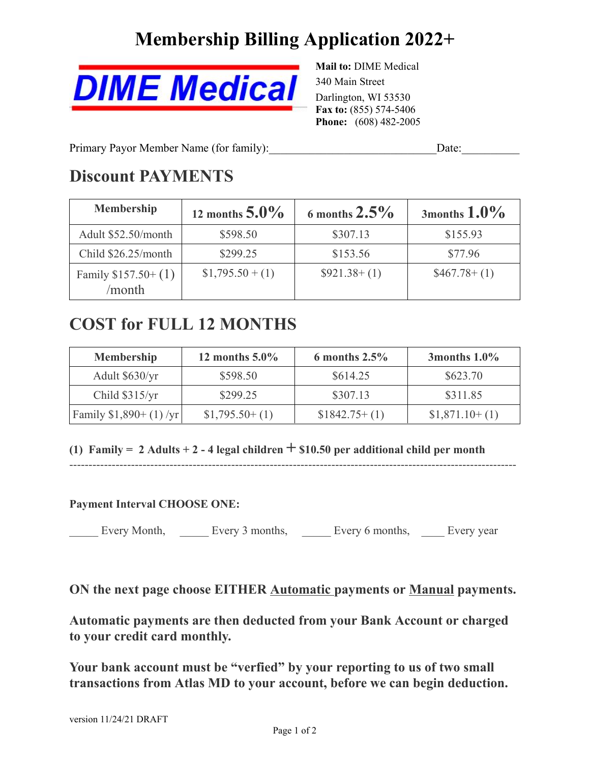# **Membership Billing Application 2022+**



**Mail to:** DIME Medical 340 Main Street Darlington, WI 53530 **Fax to:** (855) 574-5406 **Phone:** (608) 482-2005

Primary Payor Member Name (for family): Date:

## **Discount PAYMENTS**

| <b>Membership</b>             | 12 months $5.0\%$ | 6 months $2.5\%$ | 3months $1.0\%$    |
|-------------------------------|-------------------|------------------|--------------------|
| Adult \$52.50/month           | \$598.50          | \$307.13         | \$155.93           |
| Child $$26.25/month$          | \$299.25          | \$153.56         | \$77.96            |
| Family $$157.50+(1)$<br>month | $$1,795.50 + (1)$ | $$921.38+(1)$    | $$467.78 \div (1)$ |

## **COST for FULL 12 MONTHS**

| <b>Membership</b>       | 12 months $5.0\%$ | 6 months $2.5\%$ | 3 months $1.0\%$ |
|-------------------------|-------------------|------------------|------------------|
| Adult \$630/yr          | \$598.50          | \$614.25         | \$623.70         |
| Child \$315/yr          | \$299.25          | \$307.13         | \$311.85         |
| Family $$1,890+(1)$ /yr | $$1,795.50+(1)$   | $$1842.75+(1)$   | $$1,871.10+(1)$  |

--------------------------------------------------------------------------------------------------------------------

**(1) Family <sup>=</sup> <sup>2</sup> Adults <sup>+</sup> <sup>2</sup> - <sup>4</sup> legal children + \$10.50 per additional child per month**

**Payment Interval CHOOSE ONE:**

Every Month, <u>Lettery 3</u> months, <u>Lettery 6</u> months, Lettery year

**ON the next page choose EITHER Automatic payments or Manual payments.**

**Automatic payments are then deducted from your Bank Account or charged to your credit card monthly.**

**Your bank account must be "verfied" by your reporting to us of two small transactions from Atlas MD to your account, before we can begin deduction.**